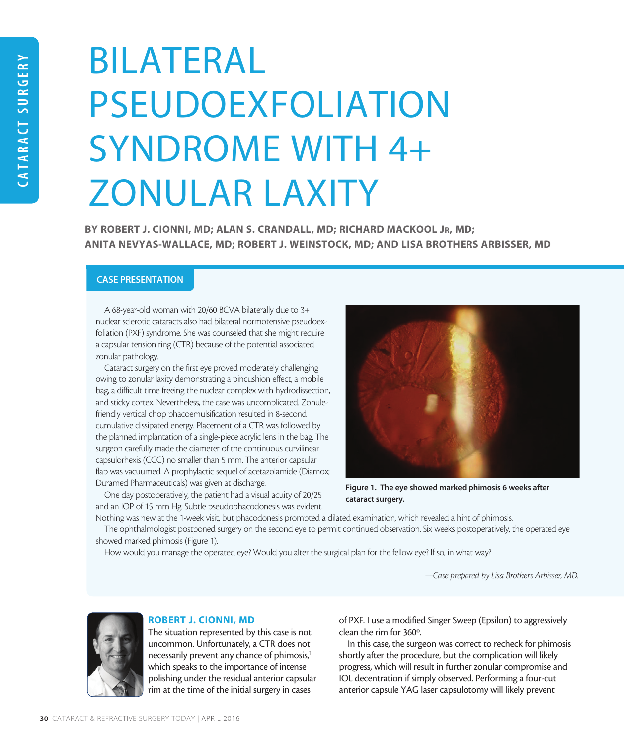# BILATERAL PSEUDOEXFOLIATION SYNDROME WITH 4+ ZONULAR LAXITY

BY ROBERT J. CIONNI, MD; ALAN S. CRANDALL, MD; RICHARD MACKOOL JR, MD; ANITA NEVYAS-WALLACE, MD; ROBERT J. WEINSTOCK, MD; AND LISA BROTHERS ARBISSER, MD

# CASE PRESENTATION

A 68-year-old woman with 20/60 BCVA bilaterally due to 3+ nuclear sclerotic cataracts also had bilateral normotensive pseudoexfoliation (PXF) syndrome. She was counseled that she might require a capsular tension ring (CTR) because of the potential associated zonular pathology.

Cataract surgery on the first eye proved moderately challenging owing to zonular laxity demonstrating a pincushion effect, a mobile bag, a difficult time freeing the nuclear complex with hydrodissection, and sticky cortex. Nevertheless, the case was uncomplicated. Zonulefriendly vertical chop phacoemulsification resulted in 8-second cumulative dissipated energy. Placement of a CTR was followed by the planned implantation of a single-piece acrylic lens in the bag. The surgeon carefully made the diameter of the continuous curvilinear capsulorhexis (CCC) no smaller than 5 mm. The anterior capsular flap was vacuumed. A prophylactic sequel of acetazolamide (Diamox; Duramed Pharmaceuticals) was given at discharge.

One day postoperatively, the patient had a visual acuity of 20/25 and an IOP of 15 mm Hg. Subtle pseudophacodonesis was evident.



Figure 1. The eye showed marked phimosis 6 weeks after cataract surgery.

Nothing was new at the 1-week visit, but phacodonesis prompted a dilated examination, which revealed a hint of phimosis.

The ophthalmologist postponed surgery on the second eye to permit continued observation. Six weeks postoperatively, the operated eye showed marked phimosis (Figure 1).

How would you manage the operated eye? Would you alter the surgical plan for the fellow eye? If so, in what way?

*—Case prepared by Lisa Brothers Arbisser, MD.*



# ROBERT J. CIONNI, MD

The situation represented by this case is not uncommon. Unfortunately, a CTR does not necessarily prevent any chance of phimosis,<sup>1</sup> which speaks to the importance of intense polishing under the residual anterior capsular rim at the time of the initial surgery in cases

of PXF. I use a modified Singer Sweep (Epsilon) to aggressively clean the rim for 360º.

In this case, the surgeon was correct to recheck for phimosis shortly after the procedure, but the complication will likely progress, which will result in further zonular compromise and IOL decentration if simply observed. Performing a four-cut anterior capsule YAG laser capsulotomy will likely prevent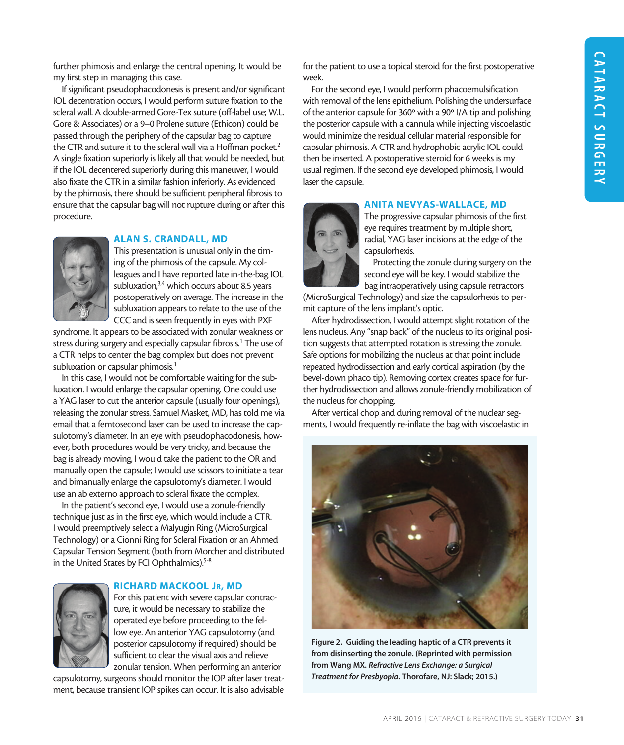further phimosis and enlarge the central opening. It would be my first step in managing this case.

If significant pseudophacodonesis is present and/or significant IOL decentration occurs, I would perform suture fixation to the scleral wall. A double-armed Gore-Tex suture (off-label use; W.L. Gore & Associates) or a 9–0 Prolene suture (Ethicon) could be passed through the periphery of the capsular bag to capture the CTR and suture it to the scleral wall via a Hoffman pocket.<sup>2</sup> A single fixation superiorly is likely all that would be needed, but if the IOL decentered superiorly during this maneuver, I would also fixate the CTR in a similar fashion inferiorly. As evidenced by the phimosis, there should be sufficient peripheral fibrosis to ensure that the capsular bag will not rupture during or after this procedure.



# ALAN S. CRANDALL, MD

This presentation is unusual only in the timing of the phimosis of the capsule. My colleagues and I have reported late in-the-bag IOL subluxation,<sup>3,4</sup> which occurs about 8.5 years postoperatively on average. The increase in the subluxation appears to relate to the use of the CCC and is seen frequently in eyes with PXF

syndrome. It appears to be associated with zonular weakness or stress during surgery and especially capsular fibrosis.<sup>1</sup> The use of a CTR helps to center the bag complex but does not prevent subluxation or capsular phimosis.<sup>1</sup>

In this case, I would not be comfortable waiting for the subluxation. I would enlarge the capsular opening. One could use a YAG laser to cut the anterior capsule (usually four openings), releasing the zonular stress. Samuel Masket, MD, has told me via email that a femtosecond laser can be used to increase the capsulotomy's diameter. In an eye with pseudophacodonesis, however, both procedures would be very tricky, and because the bag is already moving, I would take the patient to the OR and manually open the capsule; I would use scissors to initiate a tear and bimanually enlarge the capsulotomy's diameter. I would use an ab externo approach to scleral fixate the complex.

In the patient's second eye, I would use a zonule-friendly technique just as in the first eye, which would include a CTR. I would preemptively select a Malyugin Ring (MicroSurgical Technology) or a Cionni Ring for Scleral Fixation or an Ahmed Capsular Tension Segment (both from Morcher and distributed in the United States by FCI Ophthalmics).<sup>5-8</sup>



# RICHARD MACKOOL Jr, MD

For this patient with severe capsular contracture, it would be necessary to stabilize the operated eye before proceeding to the fellow eye. An anterior YAG capsulotomy (and posterior capsulotomy if required) should be sufficient to clear the visual axis and relieve zonular tension. When performing an anterior

capsulotomy, surgeons should monitor the IOP after laser treatment, because transient IOP spikes can occur. It is also advisable

for the patient to use a topical steroid for the first postoperative week.

For the second eye, I would perform phacoemulsification with removal of the lens epithelium. Polishing the undersurface of the anterior capsule for 360º with a 90º I/A tip and polishing the posterior capsule with a cannula while injecting viscoelastic would minimize the residual cellular material responsible for capsular phimosis. A CTR and hydrophobic acrylic IOL could then be inserted. A postoperative steroid for 6 weeks is my usual regimen. If the second eye developed phimosis, I would laser the capsule.

# ANITA NEVYAS-WALLACE, MD



The progressive capsular phimosis of the first eye requires treatment by multiple short, radial, YAG laser incisions at the edge of the capsulorhexis.

Protecting the zonule during surgery on the second eye will be key. I would stabilize the bag intraoperatively using capsule retractors

(MicroSurgical Technology) and size the capsulorhexis to permit capture of the lens implant's optic.

After hydrodissection, I would attempt slight rotation of the lens nucleus. Any "snap back" of the nucleus to its original position suggests that attempted rotation is stressing the zonule. Safe options for mobilizing the nucleus at that point include repeated hydrodissection and early cortical aspiration (by the bevel-down phaco tip). Removing cortex creates space for further hydrodissection and allows zonule-friendly mobilization of the nucleus for chopping.

After vertical chop and during removal of the nuclear segments, I would frequently re-inflate the bag with viscoelastic in



Figure 2. Guiding the leading haptic of a CTR prevents it from disinserting the zonule. (Reprinted with permission from Wang MX. *Refractive Lens Exchange: a Surgical Treatment for Presbyopia*. Thorofare, NJ: Slack; 2015.)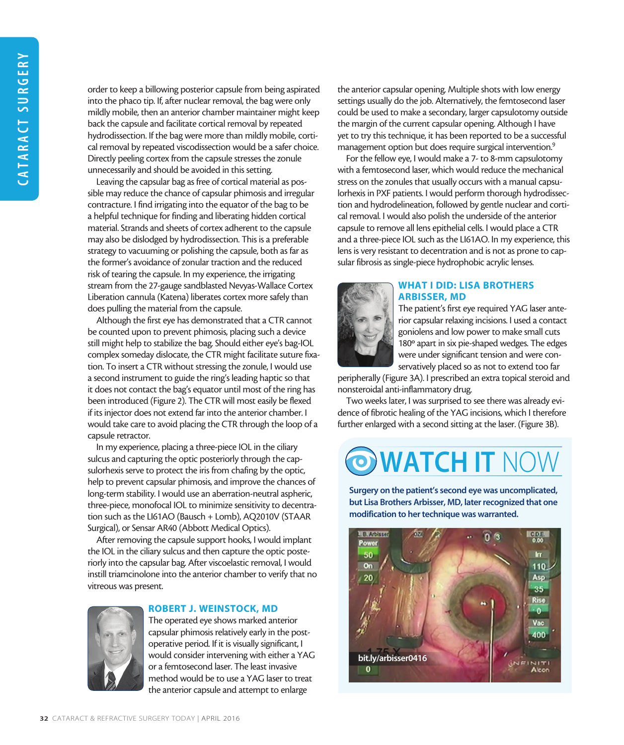order to keep a billowing posterior capsule from being aspirated into the phaco tip. If, after nuclear removal, the bag were only mildly mobile, then an anterior chamber maintainer might keep back the capsule and facilitate cortical removal by repeated hydrodissection. If the bag were more than mildly mobile, cortical removal by repeated viscodissection would be a safer choice. Directly peeling cortex from the capsule stresses the zonule unnecessarily and should be avoided in this setting.

Leaving the capsular bag as free of cortical material as possible may reduce the chance of capsular phimosis and irregular contracture. I find irrigating into the equator of the bag to be a helpful technique for finding and liberating hidden cortical material. Strands and sheets of cortex adherent to the capsule may also be dislodged by hydrodissection. This is a preferable strategy to vacuuming or polishing the capsule, both as far as the former's avoidance of zonular traction and the reduced risk of tearing the capsule. In my experience, the irrigating stream from the 27-gauge sandblasted Nevyas-Wallace Cortex Liberation cannula (Katena) liberates cortex more safely than does pulling the material from the capsule.

Although the first eye has demonstrated that a CTR cannot be counted upon to prevent phimosis, placing such a device still might help to stabilize the bag. Should either eye's bag-IOL complex someday dislocate, the CTR might facilitate suture fixation. To insert a CTR without stressing the zonule, I would use a second instrument to guide the ring's leading haptic so that it does not contact the bag's equator until most of the ring has been introduced (Figure 2). The CTR will most easily be flexed if its injector does not extend far into the anterior chamber. I would take care to avoid placing the CTR through the loop of a capsule retractor.

In my experience, placing a three-piece IOL in the ciliary sulcus and capturing the optic posteriorly through the capsulorhexis serve to protect the iris from chafing by the optic, help to prevent capsular phimosis, and improve the chances of long-term stability. I would use an aberration-neutral aspheric, three-piece, monofocal IOL to minimize sensitivity to decentration such as the LI61AO (Bausch + Lomb), AQ2010V (STAAR Surgical), or Sensar AR40 (Abbott Medical Optics).

After removing the capsule support hooks, I would implant the IOL in the ciliary sulcus and then capture the optic posteriorly into the capsular bag. After viscoelastic removal, I would instill triamcinolone into the anterior chamber to verify that no vitreous was present.



### ROBERT J. WEINSTOCK, MD

The operated eye shows marked anterior capsular phimosis relatively early in the postoperative period. If it is visually significant, I would consider intervening with either a YAG or a femtosecond laser. The least invasive method would be to use a YAG laser to treat the anterior capsule and attempt to enlarge

the anterior capsular opening. Multiple shots with low energy settings usually do the job. Alternatively, the femtosecond laser could be used to make a secondary, larger capsulotomy outside the margin of the current capsular opening. Although I have yet to try this technique, it has been reported to be a successful management option but does require surgical intervention.<sup>9</sup>

For the fellow eye, I would make a 7- to 8-mm capsulotomy with a femtosecond laser, which would reduce the mechanical stress on the zonules that usually occurs with a manual capsulorhexis in PXF patients. I would perform thorough hydrodissection and hydrodelineation, followed by gentle nuclear and cortical removal. I would also polish the underside of the anterior capsule to remove all lens epithelial cells. I would place a CTR and a three-piece IOL such as the LI61AO. In my experience, this lens is very resistant to decentration and is not as prone to capsular fibrosis as single-piece hydrophobic acrylic lenses.



# WHAT I DID: LISA BROTHERS ARBISSER, MD

The patient's first eye required YAG laser anterior capsular relaxing incisions. I used a contact goniolens and low power to make small cuts 180º apart in six pie-shaped wedges. The edges were under significant tension and were conservatively placed so as not to extend too far

peripherally (Figure 3A). I prescribed an extra topical steroid and nonsteroidal anti-inflammatory drug.

Two weeks later, I was surprised to see there was already evidence of fibrotic healing of the YAG incisions, which I therefore further enlarged with a second sitting at the laser. (Figure 3B).

# **O WATCH IT NOW**

Surgery on the patient's second eye was uncomplicated, but Lisa Brothers Arbisser, MD, later recognized that one modification to her technique was warranted.

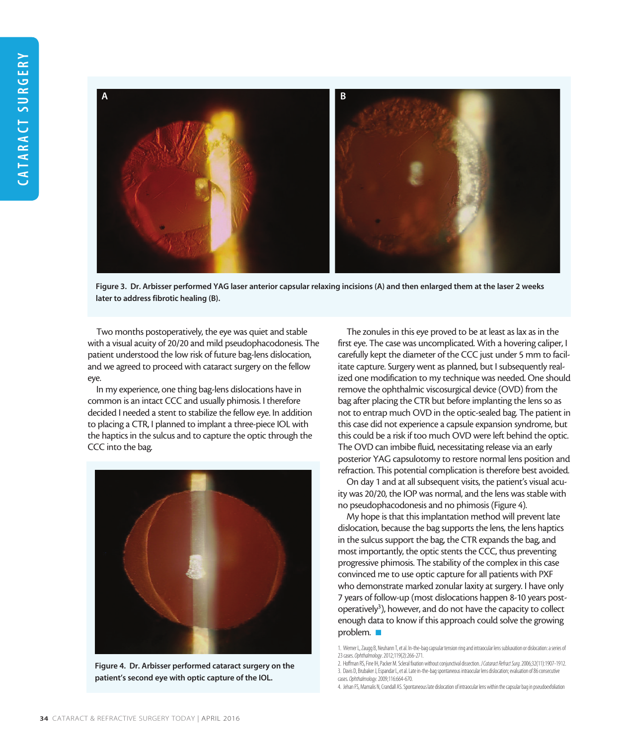

Figure 3. Dr. Arbisser performed YAG laser anterior capsular relaxing incisions (A) and then enlarged them at the laser 2 weeks later to address fibrotic healing (B).

Two months postoperatively, the eye was quiet and stable with a visual acuity of 20/20 and mild pseudophacodonesis. The patient understood the low risk of future bag-lens dislocation, and we agreed to proceed with cataract surgery on the fellow eye.

In my experience, one thing bag-lens dislocations have in common is an intact CCC and usually phimosis. I therefore decided I needed a stent to stabilize the fellow eye. In addition to placing a CTR, I planned to implant a three-piece IOL with the haptics in the sulcus and to capture the optic through the CCC into the bag.



Figure 4. Dr. Arbisser performed cataract surgery on the patient's second eye with optic capture of the IOL.

The zonules in this eye proved to be at least as lax as in the first eye. The case was uncomplicated. With a hovering caliper, I carefully kept the diameter of the CCC just under 5 mm to facilitate capture. Surgery went as planned, but I subsequently realized one modification to my technique was needed. One should remove the ophthalmic viscosurgical device (OVD) from the bag after placing the CTR but before implanting the lens so as not to entrap much OVD in the optic-sealed bag. The patient in this case did not experience a capsule expansion syndrome, but this could be a risk if too much OVD were left behind the optic. The OVD can imbibe fluid, necessitating release via an early posterior YAG capsulotomy to restore normal lens position and refraction. This potential complication is therefore best avoided.

On day 1 and at all subsequent visits, the patient's visual acuity was 20/20, the IOP was normal, and the lens was stable with no pseudophacodonesis and no phimosis (Figure 4).

My hope is that this implantation method will prevent late dislocation, because the bag supports the lens, the lens haptics in the sulcus support the bag, the CTR expands the bag, and most importantly, the optic stents the CCC, thus preventing progressive phimosis. The stability of the complex in this case convinced me to use optic capture for all patients with PXF who demonstrate marked zonular laxity at surgery. I have only 7 years of follow-up (most dislocations happen 8-10 years postoperatively<sup>3</sup>), however, and do not have the capacity to collect enough data to know if this approach could solve the growing problem.  $\blacksquare$ 

<sup>1.</sup> Werner L, Zaugg B, Neuhann T, et al. In-the-bag capsular tension ring and intraocular lens subluxation or dislocation: a series of 23 cases. *Ophthalmology*. 2012;119(2):266-271.

<sup>2.</sup> Hoffman RS, Fine IH, Packer M. Scleral fixation without conjunctival dissection. *J Cataract Refract Surg*. 2006;32(11):1907-1912. 3. Davis D, Brubaker J, Espandar L, et al. Late in-the-bag spontaneous intraocular lens dislocation; evaluation of 86 consecutive cases. *Ophthalmology*. 2009;116:664-670.

<sup>4.</sup> Jehan FS, Mamalis N, Crandall AS. Spontaneous late dislocation of intraocular lens within the capsular bag in pseudoexfoliation